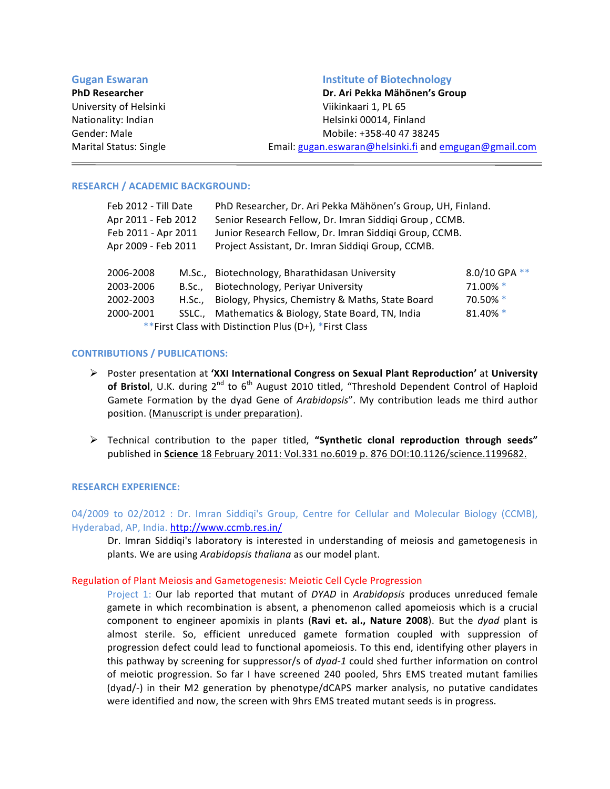| <b>Gugan Eswaran</b>          | <b>Institute of Biotechnology</b>                      |  |
|-------------------------------|--------------------------------------------------------|--|
| <b>PhD Researcher</b>         | Dr. Ari Pekka Mähönen's Group                          |  |
| University of Helsinki        | Viikinkaari 1, PL 65                                   |  |
| Nationality: Indian           | Helsinki 00014, Finland                                |  |
| Gender: Male                  | Mobile: +358-40 47 38245                               |  |
| <b>Marital Status: Single</b> | Email: gugan.eswaran@helsinki.fi and emgugan@gmail.com |  |

# **RESEARCH / ACADEMIC BACKGROUND:**

| Feb 2012 - Till Date                                   |               | PhD Researcher, Dr. Ari Pekka Mähönen's Group, UH, Finland. |               |  |
|--------------------------------------------------------|---------------|-------------------------------------------------------------|---------------|--|
| Apr 2011 - Feb 2012                                    |               | Senior Research Fellow, Dr. Imran Siddiqi Group, CCMB.      |               |  |
| Feb 2011 - Apr 2011                                    |               | Junior Research Fellow, Dr. Imran Siddiqi Group, CCMB.      |               |  |
| Apr 2009 - Feb 2011                                    |               | Project Assistant, Dr. Imran Siddiqi Group, CCMB.           |               |  |
| 2006-2008                                              |               | M.Sc., Biotechnology, Bharathidasan University              | 8.0/10 GPA ** |  |
| 2003-2006                                              | <b>B.Sc.,</b> | Biotechnology, Periyar University                           | 71.00% *      |  |
| 2002-2003                                              | H.Sc.,        | Biology, Physics, Chemistry & Maths, State Board            | 70.50% *      |  |
| 2000-2001                                              |               | SSLC., Mathematics & Biology, State Board, TN, India        | 81.40% *      |  |
| **First Class with Distinction Plus (D+), *First Class |               |                                                             |               |  |

# **CONTRIBUTIONS / PUBLICATIONS:**

- $\triangleright$  Poster presentation at 'XXI International Congress on Sexual Plant Reproduction' at University **of Bristol**, U.K. during  $2^{nd}$  to  $6^{th}$  August 2010 titled, "Threshold Dependent Control of Haploid Gamete Formation by the dyad Gene of *Arabidopsis*". My contribution leads me third author position. (Manuscript is under preparation).
- $\triangleright$  Technical contribution to the paper titled, "Synthetic clonal reproduction through seeds" published in Science 18 February 2011: Vol.331 no.6019 p. 876 DOI:10.1126/science.1199682.

## **RESEARCH EXPERIENCE:**

04/2009 to 02/2012 : Dr. Imran Siddiqi's Group, Centre for Cellular and Molecular Biology (CCMB), Hyderabad, AP, India. http://www.ccmb.res.in/

Dr. Imran Siddiqi's laboratory is interested in understanding of meiosis and gametogenesis in plants. We are using *Arabidopsis thaliana* as our model plant.

## Regulation of Plant Meiosis and Gametogenesis: Meiotic Cell Cycle Progression

Project 1: Our lab reported that mutant of *DYAD* in *Arabidopsis* produces unreduced female gamete in which recombination is absent, a phenomenon called apomeiosis which is a crucial component to engineer apomixis in plants (Ravi et. al., Nature 2008). But the *dyad* plant is almost sterile. So, efficient unreduced gamete formation coupled with suppression of progression defect could lead to functional apomeiosis. To this end, identifying other players in this pathway by screening for suppressor/s of *dyad-1* could shed further information on control of meiotic progression. So far I have screened 240 pooled, 5hrs EMS treated mutant families (dyad/-) in their M2 generation by phenotype/dCAPS marker analysis, no putative candidates were identified and now, the screen with 9hrs EMS treated mutant seeds is in progress.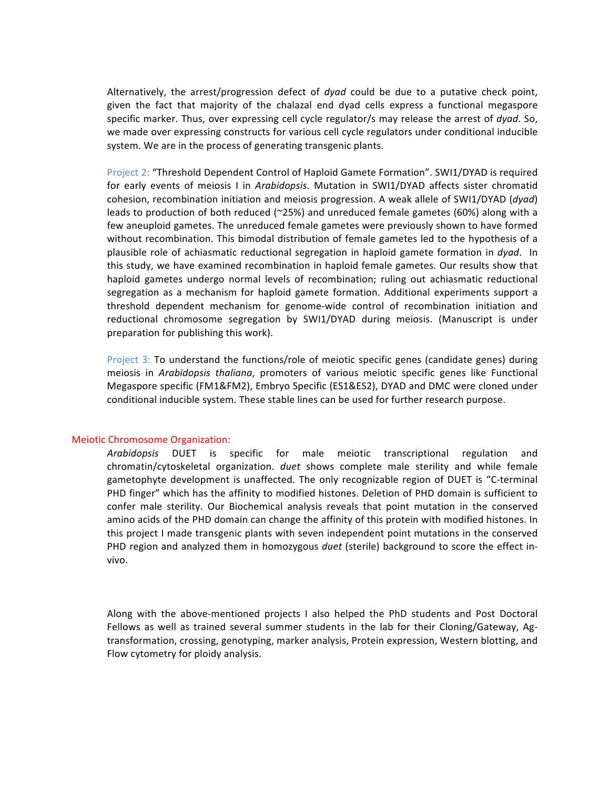Alternatively, the arrest/progression defect of *dyad* could be due to a putative check point, given the fact that majority of the chalazal end dyad cells express a functional megaspore specific marker. Thus, over expressing cell cycle regulator/s may release the arrest of *dyad*. So, we made over expressing constructs for various cell cycle regulators under conditional inducible system. We are in the process of generating transgenic plants.

Project 2: "Threshold Dependent Control of Haploid Gamete Formation". SWI1/DYAD is required for early events of meiosis I in Arabidopsis. Mutation in SWI1/DYAD affects sister chromatid cohesion, recombination initiation and meiosis progression. A weak allele of SWI1/DYAD (*dyad*) leads to production of both reduced (~25%) and unreduced female gametes (60%) along with a few aneuploid gametes. The unreduced female gametes were previously shown to have formed without recombination. This bimodal distribution of female gametes led to the hypothesis of a plausible role of achiasmatic reductional segregation in haploid gamete formation in *dyad*. In this study, we have examined recombination in haploid female gametes. Our results show that haploid gametes undergo normal levels of recombination; ruling out achiasmatic reductional segregation as a mechanism for haploid gamete formation. Additional experiments support a threshold dependent mechanism for genome-wide control of recombination initiation and reductional chromosome segregation by SWI1/DYAD during meiosis. (Manuscript is under preparation for publishing this work).

Project 3: To understand the functions/role of meiotic specific genes (candidate genes) during meiosis in *Arabidopsis thaliana*, promoters of various meiotic specific genes like Functional Megaspore specific (FM1&FM2), Embryo Specific (ES1&ES2), DYAD and DMC were cloned under conditional inducible system. These stable lines can be used for further research purpose.

## Meiotic Chromosome Organization:

*Arabidopsis* DUET\* is\* specific\* for\* male\* meiotic\* transcriptional\* regulation\* and\* chromatin/cytoskeletal\* organization.\* *duet* shows\* complete male\* sterility\* and\* while female gametophyte development is unaffected. The only recognizable region of DUET is "C-terminal PHD finger" which has the affinity to modified histones. Deletion of PHD domain is sufficient to confer male sterility. Our Biochemical analysis reveals that point mutation in the conserved amino acids of the PHD domain can change the affinity of this protein with modified histones. In this project I made transgenic plants with seven independent point mutations in the conserved PHD region and analyzed them in homozygous *duet* (sterile) background to score the effect invivo.

Along with the above-mentioned projects I also helped the PhD students and Post Doctoral Fellows as well as trained several summer students in the lab for their Cloning/Gateway, Agtransformation, crossing, genotyping, marker analysis, Protein expression, Western blotting, and Flow cytometry for ploidy analysis.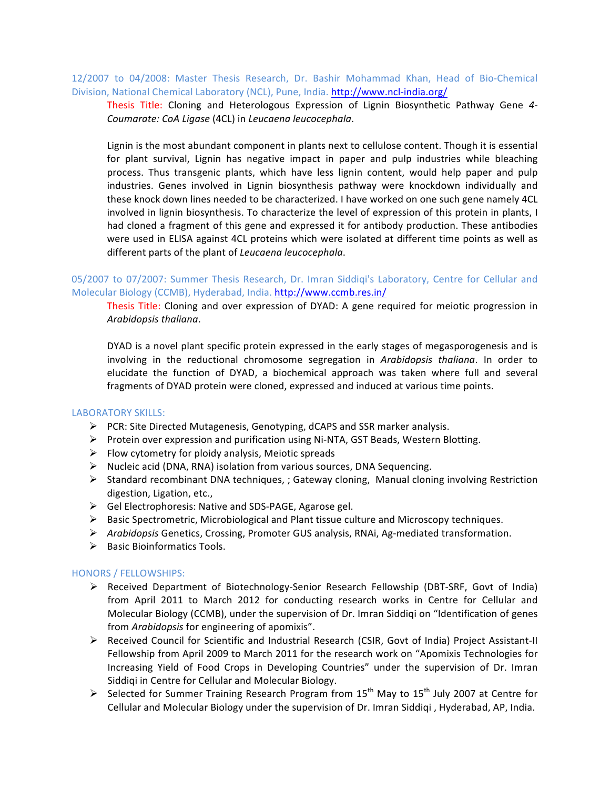12/2007 to 04/2008: Master Thesis Research, Dr. Bashir Mohammad Khan, Head of Bio-Chemical Division, National Chemical Laboratory (NCL), Pune, India. http://www.ncl-india.org/

Thesis Title: Cloning and Heterologous Expression of Lignin Biosynthetic Pathway Gene 4-*Coumarate: CoA Ligase (4CL) in Leucaena leucocephala.* 

Lignin is the most abundant component in plants next to cellulose content. Though it is essential for plant survival, Lignin has negative impact in paper and pulp industries while bleaching process. Thus transgenic plants, which have less lignin content, would help paper and pulp industries. Genes involved in Lignin biosynthesis pathway were knockdown individually and these knock down lines needed to be characterized. I have worked on one such gene namely 4CL involved in lignin biosynthesis. To characterize the level of expression of this protein in plants, I had cloned a fragment of this gene and expressed it for antibody production. These antibodies were used in ELISA against 4CL proteins which were isolated at different time points as well as different parts of the plant of *Leucaena leucocephala*.

05/2007 to 07/2007: Summer Thesis Research, Dr. Imran Siddiqi's Laboratory, Centre for Cellular and Molecular Biology (CCMB), Hyderabad, India. http://www.ccmb.res.in/

Thesis Title: Cloning and over expression of DYAD: A gene required for meiotic progression in *Arabidopsis thaliana.* 

DYAD is a novel plant specific protein expressed in the early stages of megasporogenesis and is involving in the reductional chromosome segregation in *Arabidopsis thaliana*. In order to elucidate the function of DYAD, a biochemical approach was taken where full and several fragments of DYAD protein were cloned, expressed and induced at various time points.

### LABORATORY SKILLS:

- $\triangleright$  PCR: Site Directed Mutagenesis, Genotyping, dCAPS and SSR marker analysis.
- $\triangleright$  Protein over expression and purification using Ni-NTA, GST Beads, Western Blotting.
- $\triangleright$  Flow cytometry for ploidy analysis, Meiotic spreads
- $\triangleright$  Nucleic acid (DNA, RNA) isolation from various sources, DNA Sequencing.
- $\triangleright$  Standard recombinant DNA techniques, ; Gateway cloning, Manual cloning involving Restriction digestion, Ligation, etc.,
- $\triangleright$  Gel Electrophoresis: Native and SDS-PAGE, Agarose gel.
- $\triangleright$  Basic Spectrometric, Microbiological and Plant tissue culture and Microscopy techniques.
- **▶ Arabidopsis Genetics, Crossing, Promoter GUS analysis, RNAi, Ag-mediated transformation.**
- $\triangleright$  Basic Bioinformatics Tools.

### HONORS / FELLOWSHIPS:

- E Received Department of Biotechnology-Senior Research Fellowship (DBT-SRF, Govt of India) from April 2011 to March 2012 for conducting research works in Centre for Cellular and Molecular Biology (CCMB), under the supervision of Dr. Imran Siddiqi on "Identification of genes from *Arabidopsis* for engineering of apomixis".
- > Received Council for Scientific and Industrial Research (CSIR, Govt of India) Project Assistant-II Fellowship from April 2009 to March 2011 for the research work on "Apomixis Technologies for Increasing Yield of Food Crops in Developing Countries" under the supervision of Dr. Imran Siddigi in Centre for Cellular and Molecular Biology.
- $\triangleright$  Selected for Summer Training Research Program from 15<sup>th</sup> May to 15<sup>th</sup> July 2007 at Centre for Cellular and Molecular Biology under the supervision of Dr. Imran Siddiqi, Hyderabad, AP, India.